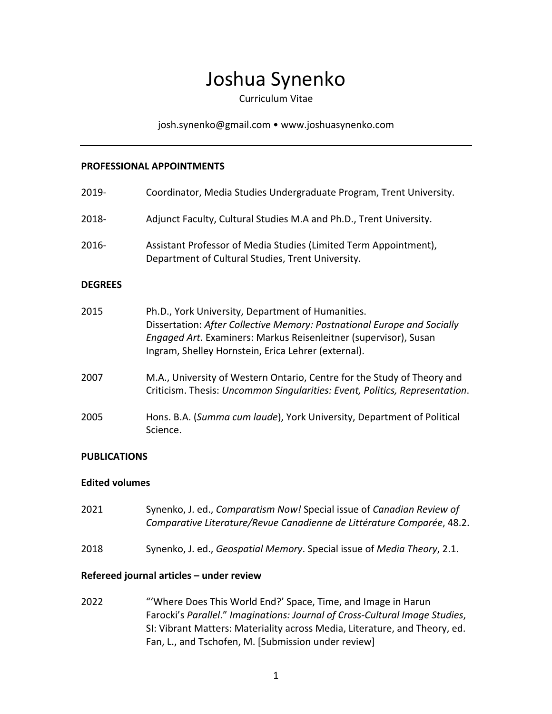# Joshua Synenko

Curriculum Vitae

josh.synenko@gmail.com • www.joshuasynenko.com

#### **PROFESSIONAL APPOINTMENTS**

| 2019-          | Coordinator, Media Studies Undergraduate Program, Trent University.                                                                                                                                                                                     |
|----------------|---------------------------------------------------------------------------------------------------------------------------------------------------------------------------------------------------------------------------------------------------------|
| 2018-          | Adjunct Faculty, Cultural Studies M.A and Ph.D., Trent University.                                                                                                                                                                                      |
| 2016-          | Assistant Professor of Media Studies (Limited Term Appointment),<br>Department of Cultural Studies, Trent University.                                                                                                                                   |
| <b>DEGREES</b> |                                                                                                                                                                                                                                                         |
| 2015           | Ph.D., York University, Department of Humanities.<br>Dissertation: After Collective Memory: Postnational Europe and Socially<br>Engaged Art. Examiners: Markus Reisenleitner (supervisor), Susan<br>Ingram, Shelley Hornstein, Erica Lehrer (external). |
| 2007           | M.A., University of Western Ontario, Centre for the Study of Theory and<br>Criticism. Thesis: Uncommon Singularities: Event, Politics, Representation.                                                                                                  |
| 2005           | Hons. B.A. (Summa cum laude), York University, Department of Political<br>Science.                                                                                                                                                                      |

#### **PUBLICATIONS**

#### **Edited volumes**

| Refereed journal articles - under review |                                                                                                                                                 |
|------------------------------------------|-------------------------------------------------------------------------------------------------------------------------------------------------|
| 2018                                     | Synenko, J. ed., Geospatial Memory. Special issue of Media Theory, 2.1.                                                                         |
| 2021                                     | Synenko, J. ed., Comparatism Now! Special issue of Canadian Review of<br>Comparative Literature/Revue Canadienne de Littérature Comparée, 48.2. |

2022 "'Where Does This World End?' Space, Time, and Image in Harun Farocki's *Parallel*." *Imaginations: Journal of Cross-Cultural Image Studies*, SI: Vibrant Matters: Materiality across Media, Literature, and Theory, ed. Fan, L., and Tschofen, M. [Submission under review]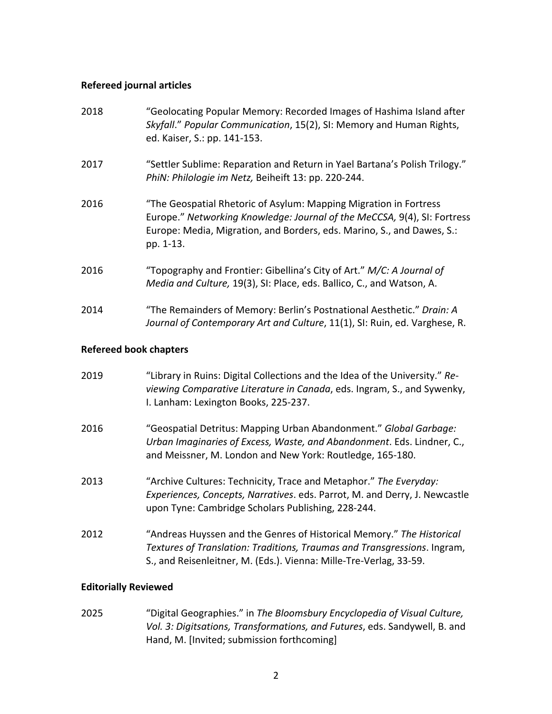#### **Refereed journal articles**

| 2018 | "Geolocating Popular Memory: Recorded Images of Hashima Island after<br>Skyfall." Popular Communication, 15(2), SI: Memory and Human Rights,<br>ed. Kaiser, S.: pp. 141-153.                                                         |
|------|--------------------------------------------------------------------------------------------------------------------------------------------------------------------------------------------------------------------------------------|
| 2017 | "Settler Sublime: Reparation and Return in Yael Bartana's Polish Trilogy."<br>PhiN: Philologie im Netz, Beiheift 13: pp. 220-244.                                                                                                    |
| 2016 | "The Geospatial Rhetoric of Asylum: Mapping Migration in Fortress<br>Europe." Networking Knowledge: Journal of the MeCCSA, 9(4), SI: Fortress<br>Europe: Media, Migration, and Borders, eds. Marino, S., and Dawes, S.:<br>pp. 1-13. |
| 2016 | "Topography and Frontier: Gibellina's City of Art." M/C: A Journal of<br>Media and Culture, 19(3), SI: Place, eds. Ballico, C., and Watson, A.                                                                                       |
| 2014 | "The Remainders of Memory: Berlin's Postnational Aesthetic." Drain: A<br>Journal of Contemporary Art and Culture, 11(1), SI: Ruin, ed. Varghese, R.                                                                                  |

## **Refereed book chapters**

| 2019 | "Library in Ruins: Digital Collections and the Idea of the University." Re-<br>viewing Comparative Literature in Canada, eds. Ingram, S., and Sywenky,<br>I. Lanham: Lexington Books, 225-237.                          |
|------|-------------------------------------------------------------------------------------------------------------------------------------------------------------------------------------------------------------------------|
| 2016 | "Geospatial Detritus: Mapping Urban Abandonment." Global Garbage:<br>Urban Imaginaries of Excess, Waste, and Abandonment. Eds. Lindner, C.,<br>and Meissner, M. London and New York: Routledge, 165-180.                |
| 2013 | "Archive Cultures: Technicity, Trace and Metaphor." The Everyday:<br>Experiences, Concepts, Narratives. eds. Parrot, M. and Derry, J. Newcastle<br>upon Tyne: Cambridge Scholars Publishing, 228-244.                   |
| 2012 | "Andreas Huyssen and the Genres of Historical Memory." The Historical<br>Textures of Translation: Traditions, Traumas and Transgressions. Ingram,<br>S., and Reisenleitner, M. (Eds.). Vienna: Mille-Tre-Verlag, 33-59. |

# **Editorially Reviewed**

2025 "Digital Geographies." in *The Bloomsbury Encyclopedia of Visual Culture, Vol. 3: Digitsations, Transformations, and Futures*, eds. Sandywell, B. and Hand, M. [Invited; submission forthcoming]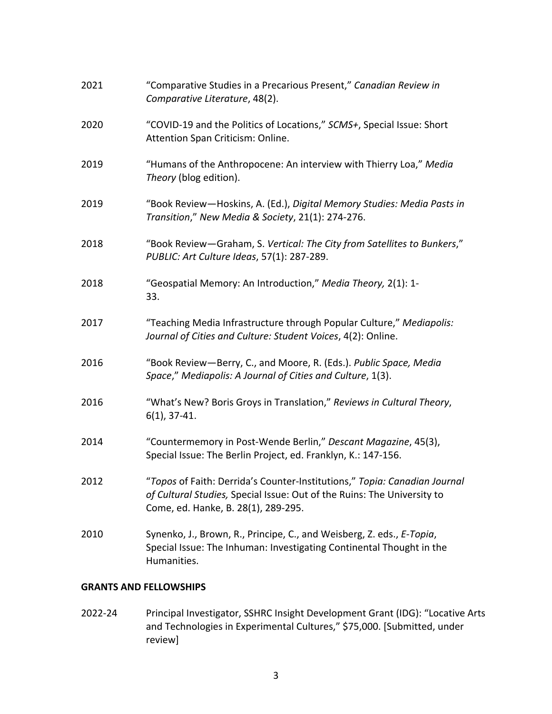| 2021 | "Comparative Studies in a Precarious Present," Canadian Review in<br>Comparative Literature, 48(2).                                                                                         |
|------|---------------------------------------------------------------------------------------------------------------------------------------------------------------------------------------------|
| 2020 | "COVID-19 and the Politics of Locations," SCMS+, Special Issue: Short<br>Attention Span Criticism: Online.                                                                                  |
| 2019 | "Humans of the Anthropocene: An interview with Thierry Loa," Media<br>Theory (blog edition).                                                                                                |
| 2019 | "Book Review-Hoskins, A. (Ed.), Digital Memory Studies: Media Pasts in<br>Transition," New Media & Society, 21(1): 274-276.                                                                 |
| 2018 | "Book Review-Graham, S. Vertical: The City from Satellites to Bunkers,"<br>PUBLIC: Art Culture Ideas, 57(1): 287-289.                                                                       |
| 2018 | "Geospatial Memory: An Introduction," Media Theory, 2(1): 1-<br>33.                                                                                                                         |
| 2017 | "Teaching Media Infrastructure through Popular Culture," Mediapolis:<br>Journal of Cities and Culture: Student Voices, 4(2): Online.                                                        |
| 2016 | "Book Review-Berry, C., and Moore, R. (Eds.). Public Space, Media<br>Space," Mediapolis: A Journal of Cities and Culture, 1(3).                                                             |
| 2016 | "What's New? Boris Groys in Translation," Reviews in Cultural Theory,<br>$6(1)$ , 37-41.                                                                                                    |
| 2014 | "Countermemory in Post-Wende Berlin," Descant Magazine, 45(3),<br>Special Issue: The Berlin Project, ed. Franklyn, K.: 147-156.                                                             |
| 2012 | "Topos of Faith: Derrida's Counter-Institutions," Topia: Canadian Journal<br>of Cultural Studies, Special Issue: Out of the Ruins: The University to<br>Come, ed. Hanke, B. 28(1), 289-295. |
| 2010 | Synenko, J., Brown, R., Principe, C., and Weisberg, Z. eds., E-Topia,<br>Special Issue: The Inhuman: Investigating Continental Thought in the<br>Humanities.                                |
|      |                                                                                                                                                                                             |

## **GRANTS AND FELLOWSHIPS**

2022-24 Principal Investigator, SSHRC Insight Development Grant (IDG): "Locative Arts and Technologies in Experimental Cultures," \$75,000. [Submitted, under review]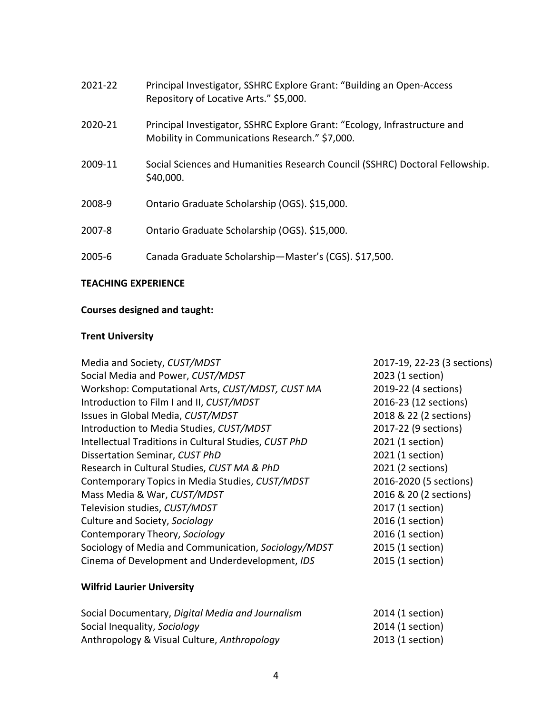| 2021-22 | Principal Investigator, SSHRC Explore Grant: "Building an Open-Access"<br>Repository of Locative Arts." \$5,000.            |
|---------|-----------------------------------------------------------------------------------------------------------------------------|
| 2020-21 | Principal Investigator, SSHRC Explore Grant: "Ecology, Infrastructure and<br>Mobility in Communications Research." \$7,000. |
| 2009-11 | Social Sciences and Humanities Research Council (SSHRC) Doctoral Fellowship.<br>\$40,000.                                   |
| 2008-9  | Ontario Graduate Scholarship (OGS). \$15,000.                                                                               |
| 2007-8  | Ontario Graduate Scholarship (OGS). \$15,000.                                                                               |
| 2005-6  | Canada Graduate Scholarship-Master's (CGS). \$17,500.                                                                       |

#### **TEACHING EXPERIENCE**

# **Courses designed and taught:**

# **Trent University**

| Media and Society, CUST/MDST                          | 2017-19, 22-23 (3 sections) |
|-------------------------------------------------------|-----------------------------|
| Social Media and Power, CUST/MDST                     | 2023 (1 section)            |
| Workshop: Computational Arts, CUST/MDST, CUST MA      | 2019-22 (4 sections)        |
| Introduction to Film I and II, CUST/MDST              | 2016-23 (12 sections)       |
| Issues in Global Media, CUST/MDST                     | 2018 & 22 (2 sections)      |
| Introduction to Media Studies, CUST/MDST              | 2017-22 (9 sections)        |
| Intellectual Traditions in Cultural Studies, CUST PhD | 2021 (1 section)            |
| Dissertation Seminar, CUST PhD                        | 2021 (1 section)            |
| Research in Cultural Studies, CUST MA & PhD           | 2021 (2 sections)           |
| Contemporary Topics in Media Studies, CUST/MDST       | 2016-2020 (5 sections)      |
| Mass Media & War, CUST/MDST                           | 2016 & 20 (2 sections)      |
| Television studies, CUST/MDST                         | 2017 (1 section)            |
| Culture and Society, Sociology                        | 2016 (1 section)            |
| Contemporary Theory, Sociology                        | 2016 (1 section)            |
| Sociology of Media and Communication, Sociology/MDST  | 2015 (1 section)            |
| Cinema of Development and Underdevelopment, IDS       | 2015 (1 section)            |
| <b>Wilfrid Laurier University</b>                     |                             |
| Social Documentary, Digital Media and Journalism      | 2014 (1 section)            |
| Social Inequality, Sociology                          | 2014 (1 section)            |
| Anthropology & Visual Culture, Anthropology           | 2013 (1 section)            |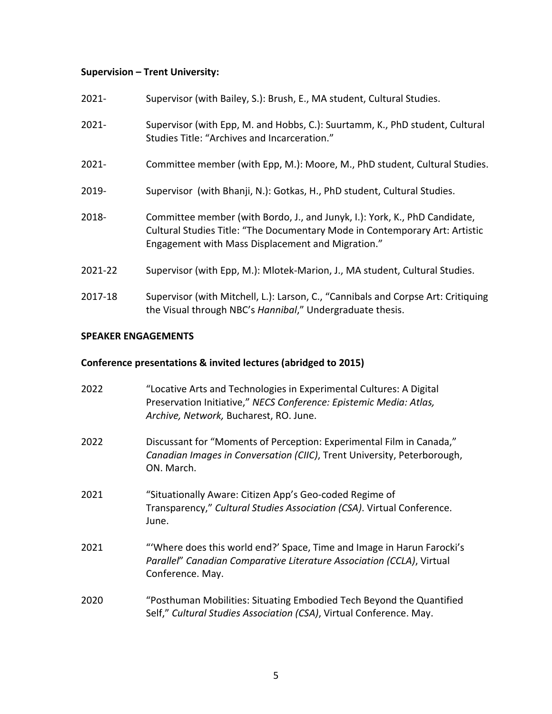# **Supervision – Trent University:**

| $2021 -$ | Supervisor (with Bailey, S.): Brush, E., MA student, Cultural Studies.                                                                                                                                         |
|----------|----------------------------------------------------------------------------------------------------------------------------------------------------------------------------------------------------------------|
| $2021 -$ | Supervisor (with Epp, M. and Hobbs, C.): Suurtamm, K., PhD student, Cultural<br>Studies Title: "Archives and Incarceration."                                                                                   |
| $2021 -$ | Committee member (with Epp, M.): Moore, M., PhD student, Cultural Studies.                                                                                                                                     |
| 2019-    | Supervisor (with Bhanji, N.): Gotkas, H., PhD student, Cultural Studies.                                                                                                                                       |
| 2018-    | Committee member (with Bordo, J., and Junyk, I.): York, K., PhD Candidate,<br>Cultural Studies Title: "The Documentary Mode in Contemporary Art: Artistic<br>Engagement with Mass Displacement and Migration." |
| 2021-22  | Supervisor (with Epp, M.): Mlotek-Marion, J., MA student, Cultural Studies.                                                                                                                                    |
| 2017-18  | Supervisor (with Mitchell, L.): Larson, C., "Cannibals and Corpse Art: Critiquing<br>the Visual through NBC's Hannibal," Undergraduate thesis.                                                                 |

## **SPEAKER ENGAGEMENTS**

# **Conference presentations & invited lectures (abridged to 2015)**

| 2022 | "Locative Arts and Technologies in Experimental Cultures: A Digital<br>Preservation Initiative," NECS Conference: Epistemic Media: Atlas,<br>Archive, Network, Bucharest, RO. June. |
|------|-------------------------------------------------------------------------------------------------------------------------------------------------------------------------------------|
| 2022 | Discussant for "Moments of Perception: Experimental Film in Canada,"<br>Canadian Images in Conversation (CIIC), Trent University, Peterborough,<br>ON. March.                       |
| 2021 | "Situationally Aware: Citizen App's Geo-coded Regime of<br>Transparency," Cultural Studies Association (CSA). Virtual Conference.<br>June.                                          |
| 2021 | "Where does this world end?' Space, Time and Image in Harun Farocki's<br>Parallel" Canadian Comparative Literature Association (CCLA), Virtual<br>Conference. May.                  |
| 2020 | "Posthuman Mobilities: Situating Embodied Tech Beyond the Quantified<br>Self," Cultural Studies Association (CSA), Virtual Conference. May.                                         |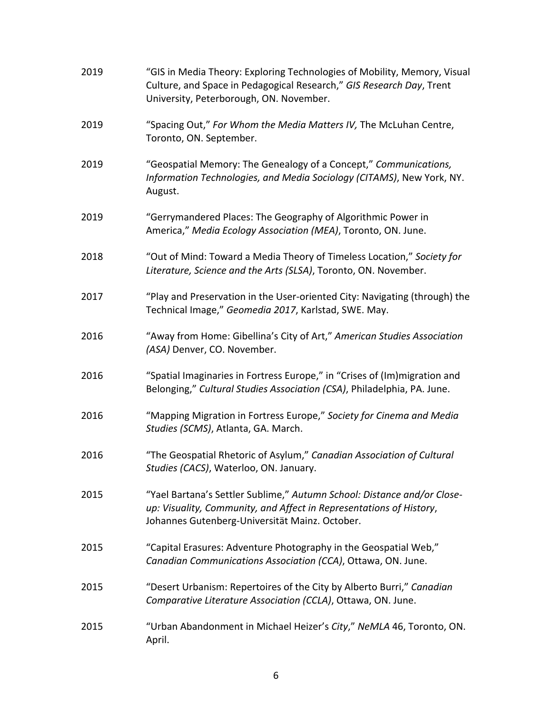| 2019 | "GIS in Media Theory: Exploring Technologies of Mobility, Memory, Visual<br>Culture, and Space in Pedagogical Research," GIS Research Day, Trent<br>University, Peterborough, ON. November.      |
|------|--------------------------------------------------------------------------------------------------------------------------------------------------------------------------------------------------|
| 2019 | "Spacing Out," For Whom the Media Matters IV, The McLuhan Centre,<br>Toronto, ON. September.                                                                                                     |
| 2019 | "Geospatial Memory: The Genealogy of a Concept," Communications,<br>Information Technologies, and Media Sociology (CITAMS), New York, NY.<br>August.                                             |
| 2019 | "Gerrymandered Places: The Geography of Algorithmic Power in<br>America," Media Ecology Association (MEA), Toronto, ON. June.                                                                    |
| 2018 | "Out of Mind: Toward a Media Theory of Timeless Location," Society for<br>Literature, Science and the Arts (SLSA), Toronto, ON. November.                                                        |
| 2017 | "Play and Preservation in the User-oriented City: Navigating (through) the<br>Technical Image," Geomedia 2017, Karlstad, SWE. May.                                                               |
| 2016 | "Away from Home: Gibellina's City of Art," American Studies Association<br>(ASA) Denver, CO. November.                                                                                           |
| 2016 | "Spatial Imaginaries in Fortress Europe," in "Crises of (Im)migration and<br>Belonging," Cultural Studies Association (CSA), Philadelphia, PA. June.                                             |
| 2016 | "Mapping Migration in Fortress Europe," Society for Cinema and Media<br>Studies (SCMS), Atlanta, GA. March.                                                                                      |
| 2016 | "The Geospatial Rhetoric of Asylum," Canadian Association of Cultural<br>Studies (CACS), Waterloo, ON. January.                                                                                  |
| 2015 | "Yael Bartana's Settler Sublime," Autumn School: Distance and/or Close-<br>up: Visuality, Community, and Affect in Representations of History,<br>Johannes Gutenberg-Universität Mainz. October. |
| 2015 | "Capital Erasures: Adventure Photography in the Geospatial Web,"<br>Canadian Communications Association (CCA), Ottawa, ON. June.                                                                 |
| 2015 | "Desert Urbanism: Repertoires of the City by Alberto Burri," Canadian<br>Comparative Literature Association (CCLA), Ottawa, ON. June.                                                            |
| 2015 | "Urban Abandonment in Michael Heizer's City," NeMLA 46, Toronto, ON.<br>April.                                                                                                                   |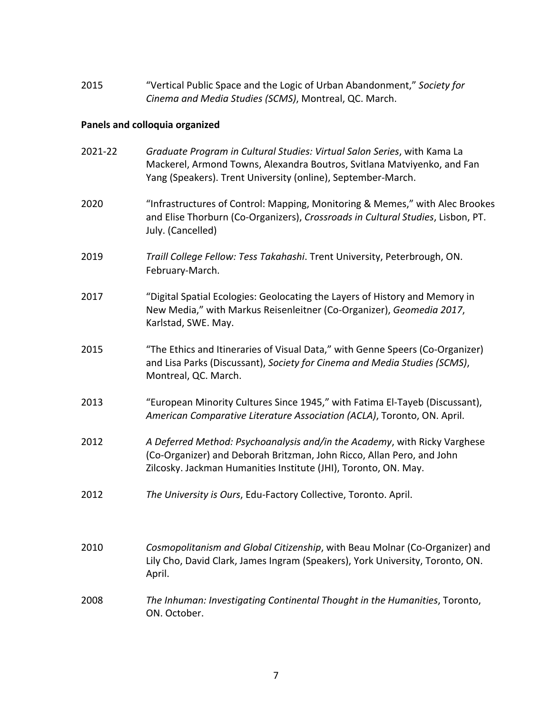2015 "Vertical Public Space and the Logic of Urban Abandonment," *Society for Cinema and Media Studies (SCMS)*, Montreal, QC. March.

# **Panels and colloquia organized**

| 2021-22 | Graduate Program in Cultural Studies: Virtual Salon Series, with Kama La<br>Mackerel, Armond Towns, Alexandra Boutros, Svitlana Matviyenko, and Fan<br>Yang (Speakers). Trent University (online), September-March.   |
|---------|-----------------------------------------------------------------------------------------------------------------------------------------------------------------------------------------------------------------------|
| 2020    | "Infrastructures of Control: Mapping, Monitoring & Memes," with Alec Brookes<br>and Elise Thorburn (Co-Organizers), Crossroads in Cultural Studies, Lisbon, PT.<br>July. (Cancelled)                                  |
| 2019    | Traill College Fellow: Tess Takahashi. Trent University, Peterbrough, ON.<br>February-March.                                                                                                                          |
| 2017    | "Digital Spatial Ecologies: Geolocating the Layers of History and Memory in<br>New Media," with Markus Reisenleitner (Co-Organizer), Geomedia 2017,<br>Karlstad, SWE. May.                                            |
| 2015    | "The Ethics and Itineraries of Visual Data," with Genne Speers (Co-Organizer)<br>and Lisa Parks (Discussant), Society for Cinema and Media Studies (SCMS),<br>Montreal, QC. March.                                    |
| 2013    | "European Minority Cultures Since 1945," with Fatima El-Tayeb (Discussant),<br>American Comparative Literature Association (ACLA), Toronto, ON. April.                                                                |
| 2012    | A Deferred Method: Psychoanalysis and/in the Academy, with Ricky Varghese<br>(Co-Organizer) and Deborah Britzman, John Ricco, Allan Pero, and John<br>Zilcosky. Jackman Humanities Institute (JHI), Toronto, ON. May. |
| 2012    | The University is Ours, Edu-Factory Collective, Toronto. April.                                                                                                                                                       |
| 2010    | Cosmopolitanism and Global Citizenship, with Beau Molnar (Co-Organizer) and<br>Lily Cho, David Clark, James Ingram (Speakers), York University, Toronto, ON.<br>April.                                                |
| 2008    | The Inhuman: Investigating Continental Thought in the Humanities, Toronto,<br>ON. October.                                                                                                                            |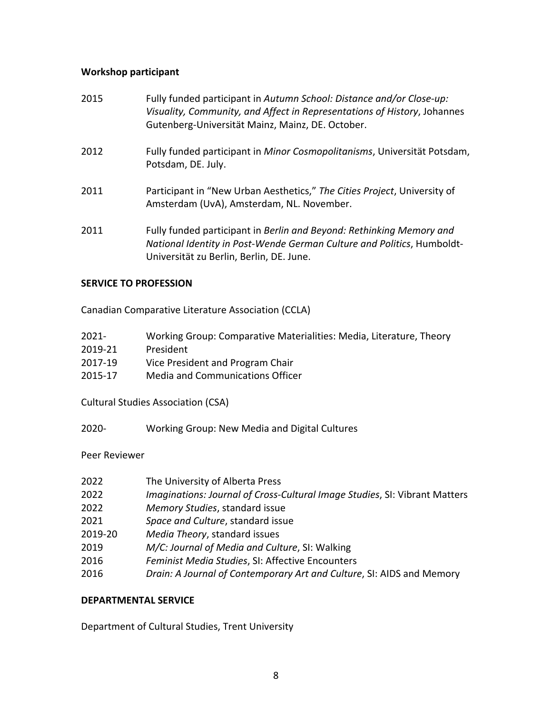## **Workshop participant**

| 2015 | Fully funded participant in Autumn School: Distance and/or Close-up:<br>Visuality, Community, and Affect in Representations of History, Johannes<br>Gutenberg-Universität Mainz, Mainz, DE. October. |
|------|------------------------------------------------------------------------------------------------------------------------------------------------------------------------------------------------------|
| 2012 | Fully funded participant in Minor Cosmopolitanisms, Universität Potsdam,<br>Potsdam, DE. July.                                                                                                       |
| 2011 | Participant in "New Urban Aesthetics," The Cities Project, University of<br>Amsterdam (UvA), Amsterdam, NL. November.                                                                                |
| 2011 | Fully funded participant in Berlin and Beyond: Rethinking Memory and<br>National Identity in Post-Wende German Culture and Politics, Humboldt-<br>Universität zu Berlin, Berlin, DE. June.           |

#### **SERVICE TO PROFESSION**

Canadian Comparative Literature Association (CCLA)

| $2021 -$ | Working Group: Comparative Materialities: Media, Literature, Theory |
|----------|---------------------------------------------------------------------|
| 2019-21  | President                                                           |
| 2017-19  | Vice President and Program Chair                                    |
| 2015-17  | Media and Communications Officer                                    |

Cultural Studies Association (CSA)

2020- Working Group: New Media and Digital Cultures

#### Peer Reviewer

| 2022    | The University of Alberta Press                                            |
|---------|----------------------------------------------------------------------------|
| 2022    | Imaginations: Journal of Cross-Cultural Image Studies, SI: Vibrant Matters |
| 2022    | Memory Studies, standard issue                                             |
| 2021    | Space and Culture, standard issue                                          |
| 2019-20 | Media Theory, standard issues                                              |
| 2019    | M/C: Journal of Media and Culture, SI: Walking                             |
| 2016    | Feminist Media Studies, SI: Affective Encounters                           |
| 2016    | Drain: A Journal of Contemporary Art and Culture, SI: AIDS and Memory      |

#### **DEPARTMENTAL SERVICE**

Department of Cultural Studies, Trent University